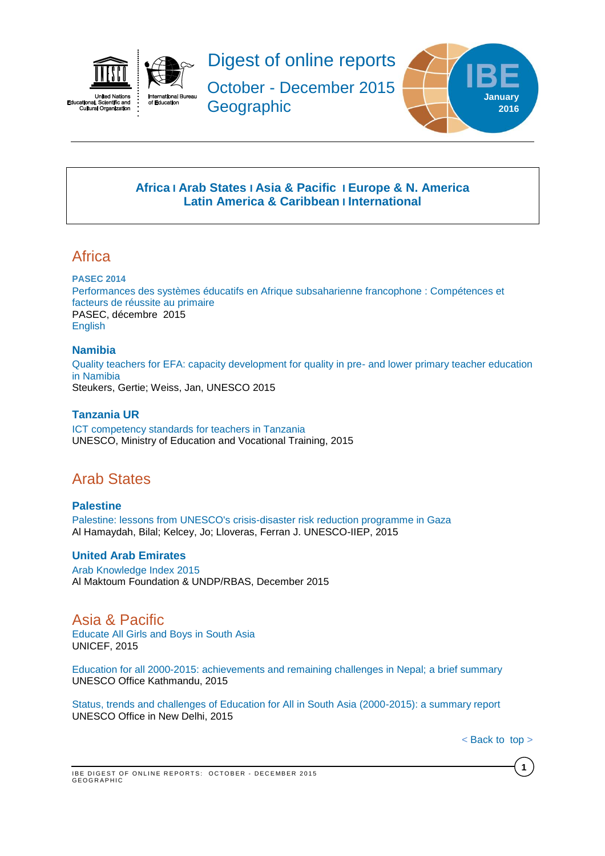



Digest of online reports

October - December 2015 **Geographic** 



# **[Africa](#page-0-0) I [Arab States](#page-0-1) I [Asia & Pacific](#page-0-2) I [Europe & N. America](#page-1-0) Latin America & Caribbean I [International](#page-4-0)**

# <span id="page-0-0"></span>**Africa**

### **PASEC 2014**

Performances des systèmes éducatifs [en Afrique subsaharienne francophone : Compétences et](http://www.pasec.confemen.org/wp-content/uploads/2015/12/Rapport_Pasec2014_FR_web.pdf)  [facteurs de réussite au primaire](http://www.pasec.confemen.org/wp-content/uploads/2015/12/Rapport_Pasec2014_FR_web.pdf) PASEC, décembre 2015 [English](http://www.pasec.confemen.org/wp-content/uploads/2015/12/Rapport_Pasec2014_GB_web.pdf)

# **Namibia**

[Quality teachers for EFA: capacity development for quality in pre-](http://unesdoc.unesco.org/images/0023/002348/234821e.pdf) and lower primary teacher education [in Namibia](http://unesdoc.unesco.org/images/0023/002348/234821e.pdf) Steukers, Gertie; Weiss, Jan, UNESCO 2015

# **Tanzania UR**

[ICT competency standards for teachers in Tanzania](http://unesdoc.unesco.org/images/0023/002348/234822e.pdf) UNESCO, Ministry of Education and Vocational Training, 2015

# <span id="page-0-1"></span>Arab States

**Palestine** [Palestine: lessons from UNESCO's crisis-disaster risk reduction programme in Gaza](http://unesdoc.unesco.org/images/0023/002347/234791e.pdf) Al Hamaydah, Bilal; Kelcey, Jo; Lloveras, Ferran J. UNESCO-IIEP, 2015

# **United Arab Emirates**

[Arab Knowledge Index 2015](http://www.knowledge4all.com/uploads/files/AKI2015/PDFEn/AKI2015_Full_En.pdf) Al Maktoum Foundation & UNDP/RBAS, December 2015

<span id="page-0-2"></span>Asia & Pacific [Educate All Girls and Boys in South Asia](http://www.unicef.org/education/files/EducateAllGirlsandBoys-UNICEF_ROSA.pdf) UNICEF, 2015

[Education for all 2000-2015: achievements and remaining challenges in Nepal;](http://unesdoc.unesco.org/images/0024/002428/242888m.pdf) a brief summary UNESCO Office Kathmandu, 2015

[Status, trends and challenges of Education for All in South Asia \(2000-2015\): a summary report](http://unesdoc.unesco.org/images/0023/002349/234967e.pdf) UNESCO Office in New Delhi, 2015

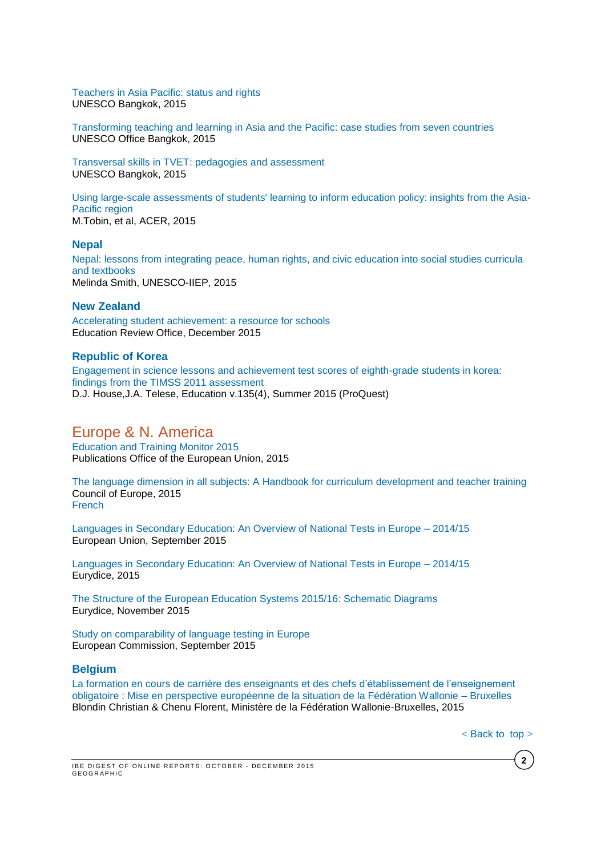[Teachers in Asia Pacific: status and rights](http://unesdoc.unesco.org/images/0023/002347/234756e.pdf) UNESCO Bangkok, 2015

[Transforming teaching and learning in Asia and the Pacific: case studies from seven countries](http://unesdoc.unesco.org/images/0023/002329/232909e.pdf) UNESCO Office Bangkok, 2015

[Transversal skills in TVET: pedagogies and assessment](http://unesdoc.unesco.org/images/0023/002354/235487e.pdf) UNESCO Bangkok, 2015

[Using large-scale assessments of students' learning to inform education policy: insights from the Asia-](http://unesdoc.unesco.org/images/0023/002354/235469e.pdf)[Pacific region](http://unesdoc.unesco.org/images/0023/002354/235469e.pdf) M.Tobin, et al, ACER, 2015

#### **Nepal**

[Nepal: lessons from integrating peace, human rights, and civic education into social studies curricula](http://unesdoc.unesco.org/images/0023/002347/234790e.pdf)  [and textbooks](http://unesdoc.unesco.org/images/0023/002347/234790e.pdf) Melinda Smith, UNESCO-IIEP, 2015

# **New Zealand**

[Accelerating student achievement: a resource for schools](http://www.ero.govt.nz/National-Reports/Accelerating-student-achievement-a-resource-for-schools-December-2015) Education Review Office, December 2015

#### **Republic of Korea**

[Engagement in science lessons and achievement test scores of eighth-grade students in korea:](http://search.proquest.com/pqcentral/docview/1717289964/43B36E04C9AC4159PQ/101?accountid=41859)  [findings from the TIMSS 2011 assessment](http://search.proquest.com/pqcentral/docview/1717289964/43B36E04C9AC4159PQ/101?accountid=41859) D.J. House,J.A. Telese, Education v.135(4), Summer 2015 (ProQuest)

# <span id="page-1-0"></span>Europe & N. America

[Education and Training Monitor 2015](http://ec.europa.eu/education/library/publications/monitor15_en.pdf) Publications Office of the European Union, 2015

[The language dimension in all subjects: A Handbook for curriculum development and teacher training](http://www.coe.int/t/dg4/linguistic/Source/Handbook-Scol_final_EN.pdf) Council of Europe, 2015 [French](http://www.coe.int/t/dg4/linguistic/Source/Handbook-Scol_final_FR.pdf)

[Languages in Secondary Education: An Overview of National Tests in Europe –](https://webgate.ec.europa.eu/fpfis/mwikis/eurydice/index.php/Publications:Languages_in_Secondary_Education:_An_Overview_of_National_Tests_in_Europe_–_2014/15) 2014/15 European Union, September 2015

[Languages in Secondary Education: An Overview of National Tests in Europe –](http://eacea.ec.europa.eu/education/eurydice/documents/facts_and_figures/187EN.pdf) 2014/15 Eurydice, 2015

[The Structure of the European Education Systems 2015/16: Schematic Diagrams](https://webgate.ec.europa.eu/fpfis/mwikis/eurydice/index.php/Publications:The_Structure_of_the_European_Education_Systems_2015/16:_Schematic_Diagrams) Eurydice, November 2015

[Study on comparability of language testing in Europe](http://ec.europa.eu/languages/library/documents/edl-report_en.pdf) European Commission, September 2015

### **Belgium**

[La formation en cours de carrière des enseignants et des chefs d'établissement de l'enseignement](http://orbi.ulg.ac.be/bitstream/2268/169117/2/La_formation_et_le_developpement_professionnel_des_enseignants.pdf)  [obligatoire : Mise en perspective européenne de la situation de la Fédération Wallonie –](http://orbi.ulg.ac.be/bitstream/2268/169117/2/La_formation_et_le_developpement_professionnel_des_enseignants.pdf) Bruxelles Blondin Christian & Chenu Florent, Ministère de la Fédération Wallonie-Bruxelles, 2015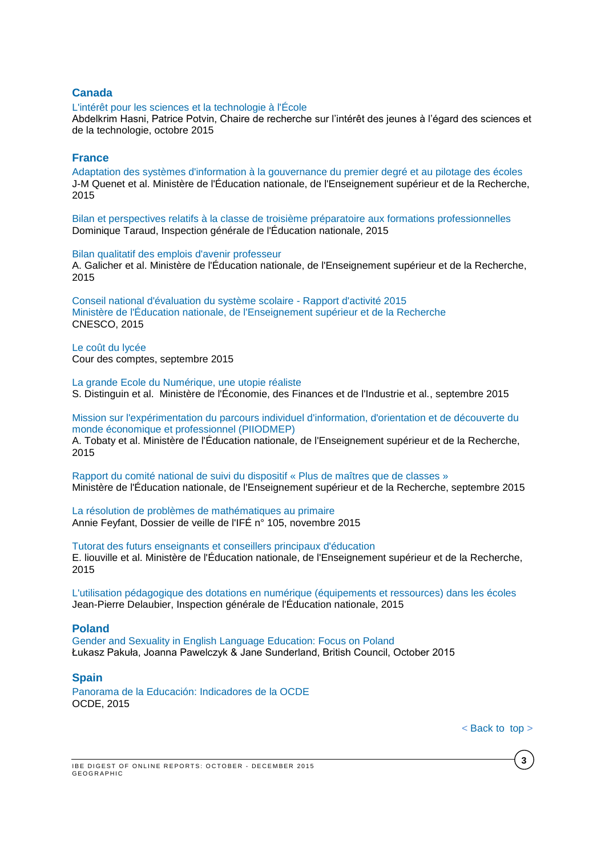#### **Canada**

#### [L'intérêt pour les sciences et la technologie à l'École](http://www.crijest.org/sites/crijest.org/files/Hasni-Potvin-Rapport-CRIJEST-2015-VF.pdf)

Abdelkrim Hasni, Patrice Potvin, Chaire de recherche sur l'intérêt des jeunes à l'égard des sciences et de la technologie, octobre 2015

#### **France**

[Adaptation des systèmes d'information à la gouvernance du premier degré et au pilotage des écoles](http://www.ladocumentationfrancaise.fr/var/storage/rapports-publics/154000752.pdf) J-M Quenet et al. Ministère de l'Éducation nationale, de l'Enseignement supérieur et de la Recherche, 2015

[Bilan et perspectives relatifs à la classe de troisième préparatoire aux formations professionnelles](http://www.ladocumentationfrancaise.fr/var/storage/rapports-publics/154000823.pdf) Dominique Taraud, Inspection générale de l'Éducation nationale, 2015

[Bilan qualitatif des emplois d'avenir professeur](http://www.ladocumentationfrancaise.fr/var/storage/rapports-publics/154000751.pdf) A. Galicher et al. Ministère de l'Éducation nationale, de l'Enseignement supérieur et de la Recherche, 2015

[Conseil national d'évaluation du système scolaire -](http://www.ladocumentationfrancaise.fr/var/storage/rapports-publics/154000850.pdf) Rapport d'activité 2015 [Ministère de l'Éducation nationale, de l'Enseignement supérieur et de la Recherche](http://www.ladocumentationfrancaise.fr/var/storage/rapports-publics/154000850.pdf) CNESCO, 2015

[Le coût du lycée](http://www.ladocumentationfrancaise.fr/var/storage/rapports-publics/154000683.pdf) Cour des comptes, septembre 2015

[La grande Ecole du Numérique, une utopie réaliste](http://www.ladocumentationfrancaise.fr/var/storage/rapports-publics/154000659.pdf) S. Distinguin et al. Ministère de l'Économie, des Finances et de l'Industrie et al., septembre 2015

[Mission sur l'expérimentation du parcours individuel d'information, d'orientation et de découverte du](http://www.ladocumentationfrancaise.fr/var/storage/rapports-publics/154000750.pdf)  [monde économique et professionnel \(PIIODMEP\)](http://www.ladocumentationfrancaise.fr/var/storage/rapports-publics/154000750.pdf)

A. Tobaty et al. Ministère de l'Éducation nationale, de l'Enseignement supérieur et de la Recherche, 2015

[Rapport du comité national de suivi du dispositif « Plus de maîtres que de classes »](http://www.ladocumentationfrancaise.fr/var/storage/rapports-publics/154000708.pdf) Ministère de l'Éducation nationale, de l'Enseignement supérieur et de la Recherche, septembre 2015

[La résolution de problèmes de mathématiques au primaire](http://ife.ens-lyon.fr/vst/DA-Veille/105-novembre-2015.pdf) Annie Feyfant, Dossier de veille de l'IFÉ n° 105, novembre 2015

[Tutorat des futurs enseignants et conseillers principaux d'éducation](http://www.ladocumentationfrancaise.fr/var/storage/rapports-publics/154000749.pdf) E. liouville et al. Ministère de l'Éducation nationale, de l'Enseignement supérieur et de la Recherche, 2015

[L'utilisation pédagogique des dotations en numérique \(équipements et ressources\) dans les écoles](http://www.ladocumentationfrancaise.fr/var/storage/rapports-publics/154000834.pdf) Jean-Pierre Delaubier, Inspection générale de l'Éducation nationale, 2015

#### **Poland**

[Gender and Sexuality in English Language Education: Focus on Poland](http://www.teachingenglish.org.uk/sites/teacheng/files/F119%20Gender%20and%20Sexuality_FINAL%20web%20v3.pdf) Łukasz Pakuła, Joanna Pawelczyk & Jane Sunderland, British Council, October 2015

### **Spain**

[Panorama de la Educación: Indicadores de la OCDE](http://www.oecd.org/spain/Education-at-a-glance-2015-Spain-in-Spanish.pdf) OCDE, 2015

**3**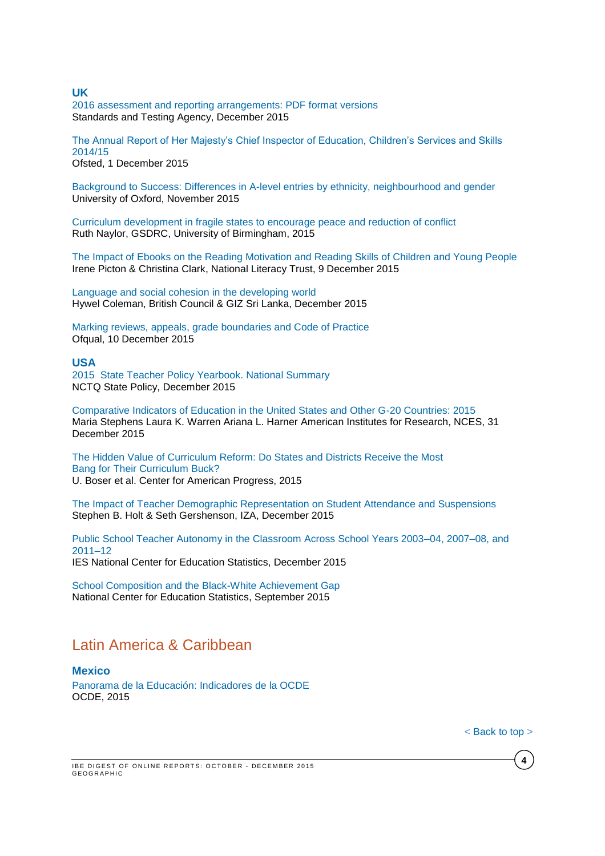#### **UK**

[2016 assessment and reporting arrangements: PDF format versions](https://www.gov.uk/government/publications/2016-assessment-and-reporting-arrangements-pdf-format-versions) Standards and Testing Agency, December 2015

[The Annual Report of Her Majesty's Chief Inspector of Education, Children's Services and Skills](https://www.gov.uk/government/uploads/system/uploads/attachment_data/file/480959/Ofsted_annual_report_education_and_skills.pdf)  [2014/15](https://www.gov.uk/government/uploads/system/uploads/attachment_data/file/480959/Ofsted_annual_report_education_and_skills.pdf) Ofsted, 1 December 2015

[Background to Success: Differences in A-level entries by ethnicity, neighbourhood and gender](http://www.suttontrust.com/wp-content/uploads/2015/11/Background-to-Success-Final.pdf) University of Oxford, November 2015

[Curriculum development in fragile states to encourage peace and reduction of conflict](http://www.gsdrc.org/wp-content/uploads/2015/12/HDQ1313.pdf) Ruth Naylor, GSDRC, University of Birmingham, 2015

[The Impact of Ebooks on the Reading Motivation and Reading Skills of Children and Young People](http://www.literacytrust.org.uk/assets/0002/9076/The_Impact_of_Ebooks_final_report.pdf) Irene Picton & Christina Clark, National Literacy Trust, 9 December 2015

[Language and social cohesion in the developing world](http://www.teachingenglish.org.uk/sites/teacheng/files/language%20and%20social%20cohesion.pdf) Hywel Coleman, British Council & GIZ Sri Lanka, December 2015

[Marking reviews, appeals, grade boundaries and Code of Practice](https://www.gov.uk/government/consultations/marking-reviews-appeals-grade-boundaries-and-code-of-practice) Ofqual, 10 December 2015

### **USA**

2015 [State Teacher Policy Yearbook. National Summary](http://www.nctq.org/dmsView/2015_State_Teacher_Policy_Yearbook_National_Summary_NCTQ_Report) NCTQ State Policy, December 2015

[Comparative Indicators of Education in the United States and Other G-20 Countries: 2015](http://nces.ed.gov/pubs2016/2016100.pdf) Maria Stephens Laura K. Warren Ariana L. Harner American Institutes for Research, NCES, 31 December 2015

[The Hidden Value of Curriculum Reform: Do States and Districts Receive the Most](https://cdn.americanprogress.org/wp-content/uploads/2015/10/06111518/CurriculumMatters-report.pdf)  [Bang for Their Curriculum Buck?](https://cdn.americanprogress.org/wp-content/uploads/2015/10/06111518/CurriculumMatters-report.pdf) U. Boser et al. Center for American Progress, 2015

[The Impact of Teacher Demographic Representation on Student Attendance and Suspensions](http://ftp.iza.org/dp9554.pdf) Stephen B. Holt & Seth Gershenson, IZA, December 2015

[Public School Teacher Autonomy in the Classroom Across School Years 2003–04, 2007–08, and](http://nces.ed.gov/pubs2015/2015089.pdf)  [2011–12](http://nces.ed.gov/pubs2015/2015089.pdf) IES National Center for Education Statistics, December 2015

[School Composition and the Black-White Achievement Gap](http://nces.ed.gov/pubsearch/pubsinfo.asp?pubid=2015018) National Center for Education Statistics, September 2015

# Latin America & Caribbean

#### **Mexico**

[Panorama de la Educación: Indicadores de la OCDE](http://www.oecd.org/mexico/Education-at-a-glance-2015-Mexico-in-Spanish.pdf) OCDE, 2015

**4**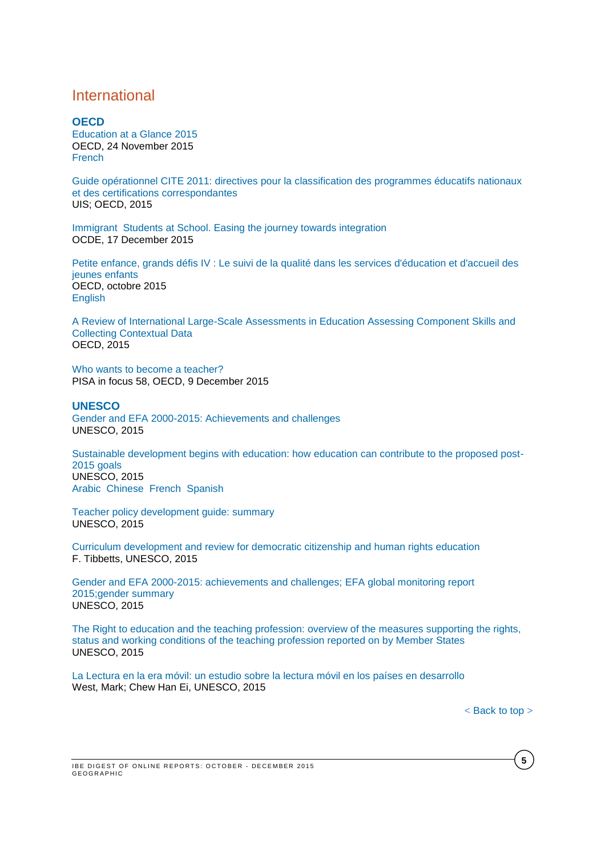# <span id="page-4-0"></span>International

**OECD** [Education at a Glance 2015](http://www.oecd-ilibrary.org/education/education-at-a-glance-2015_eag-2015-en) OECD, 24 November 2015 **[French](http://www.oecd-ilibrary.org/education/regards-sur-l-education-2015_eag-2015-fr)** 

[Guide opérationnel CITE 2011: directives pour la classification des programmes éducatifs nationaux](http://unesdoc.unesco.org/images/0024/002429/242957f.pdf)  [et des certifications correspondantes](http://unesdoc.unesco.org/images/0024/002429/242957f.pdf) UIS; OECD, 2015

Immigrant [Students at School. Easing the journey towards integration](http://www.oecd-ilibrary.org/docserver/download/9115111e.pdf?expires=1450345229&id=id&accname=ocid195767&checksum=E178CBEB45DCFEBA0637470AEC2D7DC3) OCDE, 17 December 2015

[Petite enfance, grands défis IV : Le suivi de la qualité dans les services d'éducation et d'accueil des](http://www.oecd-ilibrary.org/education/petite-enfance-grands-defis-iv_9789264246171-fr;jsessionid=2s1oenthije7i.x-oecd-live-03)  [jeunes enfants](http://www.oecd-ilibrary.org/education/petite-enfance-grands-defis-iv_9789264246171-fr;jsessionid=2s1oenthije7i.x-oecd-live-03) OECD, octobre 2015 [English](http://www.oecd-ilibrary.org/education/starting-strong-iv_9789264233515-en)

[A Review of International Large-Scale Assessments in Education Assessing Component Skills and](http://www.oecd-ilibrary.org/education/a-review-of-international-large-scale-assessments_9789264248373-en)  [Collecting Contextual Data](http://www.oecd-ilibrary.org/education/a-review-of-international-large-scale-assessments_9789264248373-en) OECD, 2015

[Who wants to become a teacher?](http://www.oecd-ilibrary.org/docserver/download/5jrp3qdk2fzp.pdf?expires=1450438088&id=id&accname=guest&checksum=26545392A702B6EDDC3C2FDA6DA9F47B) PISA in focus 58, OECD, 9 December 2015

#### **UNESCO**

[Gender and EFA 2000-2015: Achievements and challenges](http://unesdoc.unesco.org/images/0023/002348/234809E.pdf?new) UNESCO, 2015

[Sustainable development begins with education: how education can contribute to the proposed post-](http://unesdoc.unesco.org/images/0023/002305/230508e.pdf)[2015 goals](http://unesdoc.unesco.org/images/0023/002305/230508e.pdf) UNESCO, 2015 [Arabic](http://unesdoc.unesco.org/images/0023/002305/230508a.pdf) [Chinese](http://unesdoc.unesco.org/images/0023/002305/230508c.pdf) [French](http://unesdoc.unesco.org/images/0023/002305/230508f.pdf) [Spanish](http://unesdoc.unesco.org/images/0023/002305/230508s.pdf)

[Teacher policy development guide: summary](http://unesdoc.unesco.org/images/0023/002352/235272e.pdf) UNESCO, 2015

[Curriculum development and review for democratic citizenship and human rights education](http://unesdoc.unesco.org/images/0023/002343/234386e.pdf) F. Tibbetts, UNESCO, 2015

[Gender and EFA 2000-2015: achievements and challenges;](http://unesdoc.unesco.org/images/0023/002348/234809e.pdf) EFA global monitoring report [2015;gender](http://unesdoc.unesco.org/images/0023/002348/234809e.pdf) summary UNESCO, 2015

[The Right to education and the teaching profession: overview of the measures supporting the rights,](http://unesdoc.unesco.org/images/0023/002348/234820e.pdf)  [status and working conditions of the teaching profession reported on by Member States](http://unesdoc.unesco.org/images/0023/002348/234820e.pdf) UNESCO, 2015

[La Lectura en la era móvil: un estudio sobre la lectura móvil en los países en desarrollo](http://unesdoc.unesco.org/images/0023/002338/233828s.pdf) West, Mark; Chew Han Ei, UNESCO, 2015

**5**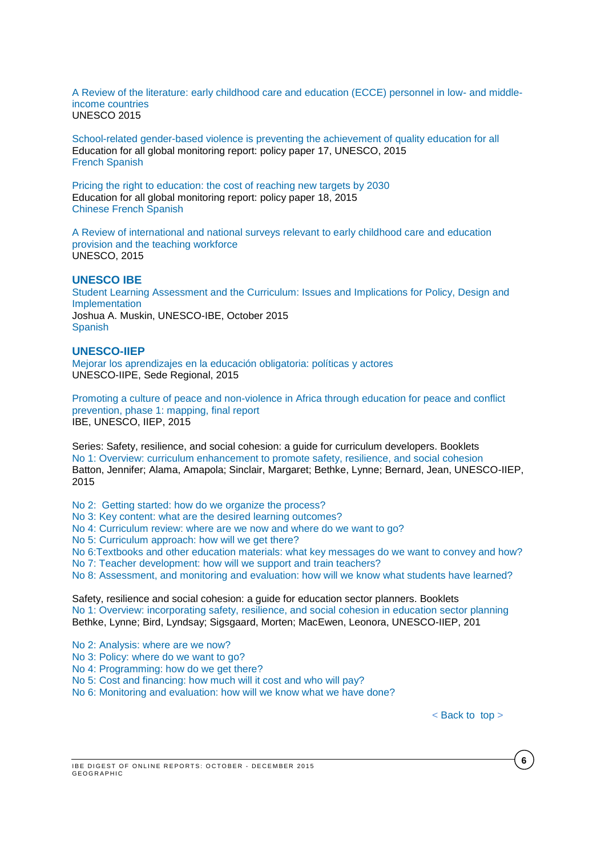[A Review of the literature: early childhood care and education \(ECCE\) personnel in low-](http://unesdoc.unesco.org/images/0023/002349/234988e.pdf) and middle[income countries](http://unesdoc.unesco.org/images/0023/002349/234988e.pdf) UNESCO 2015

[School-related gender-based violence is preventing the achievement of quality education for all](http://unesdoc.unesco.org/images/0023/002321/232107e.pdf) Education for all global monitoring report: policy paper 17, UNESCO, 2015 [French](http://unesdoc.unesco.org/images/0023/002321/232107f.pdf) [Spanish](http://unesdoc.unesco.org/images/0023/002321/232107s.pdf)

[Pricing the right to education: the cost of reaching new targets by 2030](http://unesdoc.unesco.org/images/0023/002321/232197e.pdf) Education for all global monitoring report: policy paper 18, 2015 [Chinese](http://unesdoc.unesco.org/images/0023/002321/232197c.pdf) [French](http://unesdoc.unesco.org/images/0023/002321/232197f.pdf) [Spanish](http://unesdoc.unesco.org/images/0023/002321/232197s.pdf)

[A Review of international and national surveys relevant to early childhood care](http://unesdoc.unesco.org/images/0024/002430/243095e.pdf) and education [provision and the teaching workforce](http://unesdoc.unesco.org/images/0024/002430/243095e.pdf) UNESCO, 2015

# **UNESCO IBE**

[Student Learning Assessment and the Curriculum: Issues and Implications for Policy, Design and](http://www.ibe.unesco.org/inprogress-reflections/IPR1-Muskin-AssessmentCurriculum_eng.pdf)  [Implementation](http://www.ibe.unesco.org/inprogress-reflections/IPR1-Muskin-AssessmentCurriculum_eng.pdf) Joshua A. Muskin, UNESCO-IBE, October 2015 [Spanish](http://www.ibe.unesco.org/inprogress-reflections/IPR1-Muskin-AssessmentCurriculum_spa.pdf)

#### **UNESCO-IIEP**

[Mejorar los aprendizajes en la educación obligatoria: políticas y actores](http://unesdoc.unesco.org/images/0023/002349/234977s.pdf) UNESCO-IIPE, Sede Regional, 2015

[Promoting a culture of peace and non-violence in Africa through education for peace and conflict](http://unesdoc.unesco.org/images/0023/002346/234682e.pdf)  [prevention, phase 1: mapping, final report](http://unesdoc.unesco.org/images/0023/002346/234682e.pdf) IBE, UNESCO, IIEP, 2015

Series: Safety, resilience, and social cohesion: a guide for curriculum developers. Booklets [No 1: Overview: curriculum enhancement to promote safety, resilience, and social cohesion](http://unesdoc.unesco.org/images/0023/002348/234808e.pdf) Batton, Jennifer; Alama, Amapola; Sinclair, Margaret; Bethke, Lynne; Bernard, Jean, UNESCO-IIEP, 2015

[No 2: Getting started: how do we organize the process?](http://unesdoc.unesco.org/images/0023/002348/234812e.pdf)

[No 3: Key content: what are the desired learning outcomes?](http://unesdoc.unesco.org/images/0023/002348/234814e.pdf)

[No 4: Curriculum review: where are we now and where do we want to go?](http://unesdoc.unesco.org/images/0023/002348/234815e.pdf)

[No 5: Curriculum approach: how will we get there?](http://unesdoc.unesco.org/images/0023/002348/234816e.pdf)

[No 6:Textbooks and other education materials: what key messages do we want to convey and how?](http://unesdoc.unesco.org/images/0023/002348/234817e.pdf) [No 7: Teacher development: how will we support and train teachers?](http://unesdoc.unesco.org/images/0023/002348/234818e.pdf)

[No 8: Assessment, and monitoring and evaluation: how will we know what students have learned?](http://unesdoc.unesco.org/images/0023/002348/234819e.pdf)

Safety, resilience and social cohesion: a guide for education sector planners. Booklets [No 1: Overview: incorporating safety, resilience, and social cohesion in education sector planning](http://unesdoc.unesco.org/images/0023/002347/234792e.pdf) Bethke, Lynne; Bird, Lyndsay; Sigsgaard, Morten; MacEwen, Leonora, UNESCO-IIEP, 201

[No 2: Analysis: where are we now?](http://unesdoc.unesco.org/images/0023/002347/234793e.pdf)

[No 3: Policy: where do we want to go?](http://unesdoc.unesco.org/images/0023/002347/234795e.pdf)

[No 4: Programming: how do we get there?](http://unesdoc.unesco.org/images/0023/002347/234796e.pdf)

[No 5: Cost and financing: how much will it cost and who will pay?](http://unesdoc.unesco.org/images/0023/002347/234798e.pdf)

[No 6: Monitoring and evaluation: how will we know what we have done?](http://unesdoc.unesco.org/images/0023/002348/234805e.pdf)

**6**